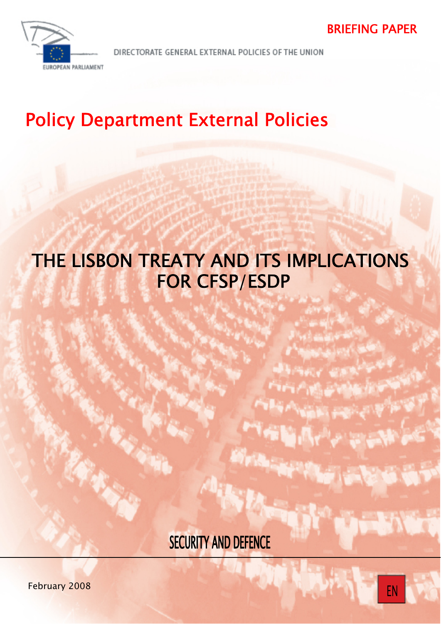



DIRECTORATE GENERAL EXTERNAL POLICIES OF THE UNION

# Policy Department External Policies

# THE LISBON TREATY AND ITS IMPLICATIONS FOR CFSP/ESDP

**SECURITY AND DEFENCE**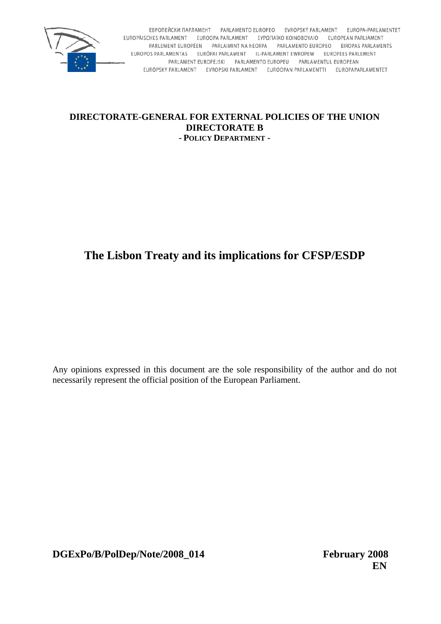

EBPOΠΕЙСКИ ПАРЛАМЕНТ PARLAMENTO EUROPEO EVROPSKÝ PARLAMENT EUROPA-PARLAMENTET EUROPÄISCHES PARLAMENT EUROOPA PARLAMENT EYPOITAÏKO KOINOBOYAIO EUROPEAN PARLIAMENT PARLEMENT EUROPÉEN PARLAIMINT NA HEORPA PARLAMENTO EUROPEO EIROPAS PARLAMENTS EUROPOS PARLAMENTAS EURÓPAI PARLAMENT IL-PARLAMENT EWROPEW EUROPEES PARLEMENT PARLAMENT EUROPEJSKI PARLAMENTO EUROPEU PARLAMENTUL EUROPEAN EURÓPSKY PARLAMENT EVROPSKI PARLAMENT EUROOPAN PARLAMENTTI EUROPAPARLAMENTET

### **DIRECTORATE-GENERAL FOR EXTERNAL POLICIES OF THE UNION DIRECTORATE B - POLICY DEPARTMENT -**

## **The Lisbon Treaty and its implications for CFSP/ESDP**

Any opinions expressed in this document are the sole responsibility of the author and do not necessarily represent the official position of the European Parliament.

**DGExPo/B/PolDep/Note/2008\_014 February 2008** 

 **EN**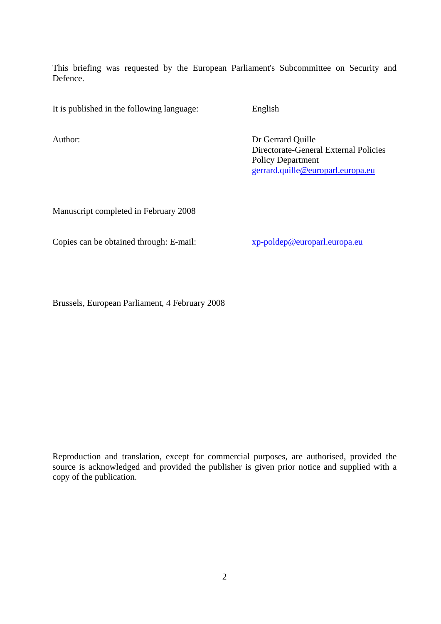This briefing was requested by the European Parliament's Subcommittee on Security and Defence.

It is published in the following language: English

Author: Dr Gerrard Quille Directorate-General External Policies Policy Department

gerrard.quill[e@europarl.europa.eu](mailto:levente.csaszi@europarl.europa.eu)

Manuscript completed in February 2008

Copies can be obtained through: E-mail: [xp-poldep@europarl.europa.eu](mailto:xp-poldep@europarl.europa.eu)

Brussels, European Parliament, 4 February 2008

Reproduction and translation, except for commercial purposes, are authorised, provided the source is acknowledged and provided the publisher is given prior notice and supplied with a copy of the publication.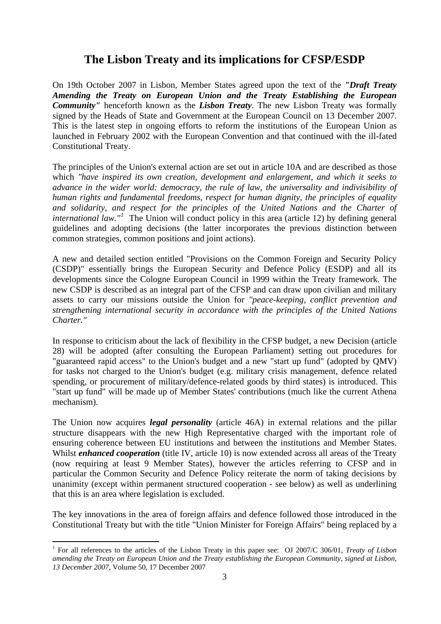## **The Lisbon Treaty and its implications for CFSP/ESDP**

On 19th October 2007 in Lisbon, Member States agreed upon the text of the *"Draft Treaty Amending the Treaty on European Union and the Treaty Establishing the European Community"* henceforth known as the *Lisbon Treaty*. The new Lisbon Treaty was formally signed by the Heads of State and Government at the European Council on 13 December 2007. This is the latest step in ongoing efforts to reform the institutions of the European Union as launched in February 2002 with the European Convention and that continued with the ill-fated Constitutional Treaty.

The principles of the Union's external action are set out in article 10A and are described as those which *"have inspired its own creation, development and enlargement, and which it seeks to advance in the wider world: democracy, the rule of law, the universality and indivisibility of human rights and fundamental freedoms, respect for human dignity, the principles of equality and solidarity, and respect for the principles of the United Nations and the Charter of international law.*<sup>"</sup> The Union will conduct policy in this area (article [1](#page-3-0)2) by defining general guidelines and adopting decisions (the latter incorporates the previous distinction between common strategies, common positions and joint actions).

A new and detailed section entitled "Provisions on the Common Foreign and Security Policy (CSDP)" essentially brings the European Security and Defence Policy (ESDP) and all its developments since the Cologne European Council in 1999 within the Treaty framework. The new CSDP is described as an integral part of the CFSP and can draw upon civilian and military assets to carry our missions outside the Union for *"peace-keeping, conflict prevention and strengthening international security in accordance with the principles of the United Nations Charter."*

In response to criticism about the lack of flexibility in the CFSP budget, a new Decision (article 28) will be adopted (after consulting the European Parliament) setting out procedures for "guaranteed rapid access" to the Union's budget and a new "start up fund" (adopted by QMV) for tasks not charged to the Union's budget (e.g. military crisis management, defence related spending, or procurement of military/defence-related goods by third states) is introduced. This "start up fund" will be made up of Member States' contributions (much like the current Athena mechanism).

The Union now acquires *legal personality* (article 46A) in external relations and the pillar structure disappears with the new High Representative charged with the important role of ensuring coherence between EU institutions and between the institutions and Member States. Whilst *enhanced cooperation* (title IV, article 10) is now extended across all areas of the Treaty (now requiring at least 9 Member States), however the articles referring to CFSP and in particular the Common Security and Defence Policy reiterate the norm of taking decisions by unanimity (except within permanent structured cooperation - see below) as well as underlining that this is an area where legislation is excluded.

The key innovations in the area of foreign affairs and defence followed those introduced in the Constitutional Treaty but with the title "Union Minister for Foreign Affairs" being replaced by a

1

<span id="page-3-0"></span><sup>&</sup>lt;sup>1</sup> For all references to the articles of the Lisbon Treaty in this paper see: OJ 2007/C 306/01, *Treaty of Lisbon amending the Treaty on European Union and the Treaty establishing the European Community, signed at Lisbon, 13 December 2007*, Volume 50, 17 December 2007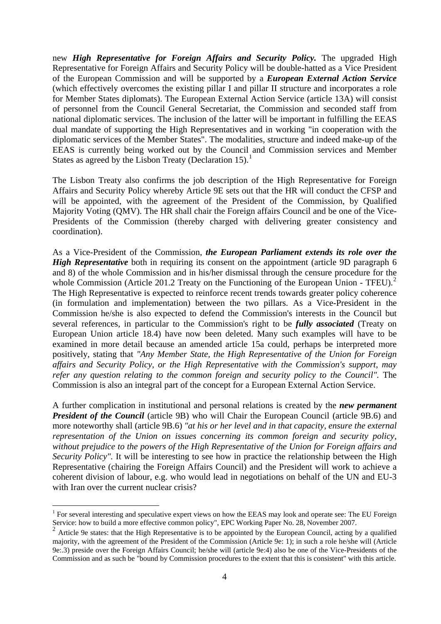new *High Representative for Foreign Affairs and Security Policy*. The upgraded High Representative for Foreign Affairs and Security Policy will be double-hatted as a Vice President of the European Commission and will be supported by a *European External Action Service* (which effectively overcomes the existing pillar I and pillar II structure and incorporates a role for Member States diplomats). The European External Action Service (article 13A) will consist of personnel from the Council General Secretariat, the Commission and seconded staff from national diplomatic services. The inclusion of the latter will be important in fulfilling the EEAS dual mandate of supporting the High Representatives and in working "in cooperation with the diplomatic services of the Member States". The modalities, structure and indeed make-up of the EEAS is currently being worked out by the Council and Commission services and Member States as agreed by the Lisbon Treaty (Declaration [1](#page-4-0)5).<sup>1</sup>

The Lisbon Treaty also confirms the job description of the High Representative for Foreign Affairs and Security Policy whereby Article 9E sets out that the HR will conduct the CFSP and will be appointed, with the agreement of the President of the Commission, by Qualified Majority Voting (QMV). The HR shall chair the Foreign affairs Council and be one of the Vice-Presidents of the Commission (thereby charged with delivering greater consistency and coordination).

As a Vice-President of the Commission, *the European Parliament extends its role over the High Representative* both in requiring its consent on the appointment (article 9D paragraph 6 and 8) of the whole Commission and in his/her dismissal through the censure procedure for the whole Commission (Article [2](#page-4-1)01.2 Treaty on the Functioning of the European Union - TFEU).<sup>2</sup> The High Representative is expected to reinforce recent trends towards greater policy coherence (in formulation and implementation) between the two pillars. As a Vice-President in the Commission he/she is also expected to defend the Commission's interests in the Council but several references, in particular to the Commission's right to be *fully associated* (Treaty on European Union article 18.4) have now been deleted. Many such examples will have to be examined in more detail because an amended article 15a could, perhaps be interpreted more positively, stating that *"Any Member State, the High Representative of the Union for Foreign affairs and Security Policy, or the High Representative with the Commission's support, may refer any question relating to the common foreign and security policy to the Council".* The Commission is also an integral part of the concept for a European External Action Service.

A further complication in institutional and personal relations is created by the *new permanent President of the Council* (article 9B) who will Chair the European Council (article 9B.6) and more noteworthy shall (article 9B.6) *"at his or her level and in that capacity, ensure the external representation of the Union on issues concerning its common foreign and security policy, without prejudice to the powers of the High Representative of the Union for Foreign affairs and Security Policy".* It will be interesting to see how in practice the relationship between the High Representative (chairing the Foreign Affairs Council) and the President will work to achieve a coherent division of labour, e.g. who would lead in negotiations on behalf of the UN and EU-3 with Iran over the current nuclear crisis?

1

<span id="page-4-0"></span><sup>&</sup>lt;sup>1</sup> For several interesting and speculative expert views on how the EEAS may look and operate see: The EU Foreign Service: how to build a more effective common policy", EPC Working Paper No. 28, November 2007.

<span id="page-4-1"></span> $2$  Article 9e states: that the High Representative is to be appointed by the European Council, acting by a qualified majority, with the agreement of the President of the Commission (Article 9e: 1); in such a role he/she will (Article 9e:.3) preside over the Foreign Affairs Council; he/she will (article 9e:4) also be one of the Vice-Presidents of the Commission and as such be "bound by Commission procedures to the extent that this is consistent" with this article.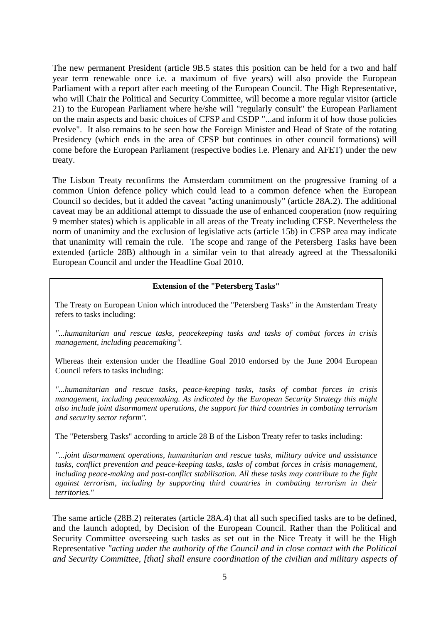The new permanent President (article 9B.5 states this position can be held for a two and half year term renewable once i.e. a maximum of five years) will also provide the European Parliament with a report after each meeting of the European Council. The High Representative, who will Chair the Political and Security Committee, will become a more regular visitor (article 21) to the European Parliament where he/she will "regularly consult" the European Parliament on the main aspects and basic choices of CFSP and CSDP "...and inform it of how those policies evolve". It also remains to be seen how the Foreign Minister and Head of State of the rotating Presidency (which ends in the area of CFSP but continues in other council formations) will come before the European Parliament (respective bodies i.e. Plenary and AFET) under the new treaty.

The Lisbon Treaty reconfirms the Amsterdam commitment on the progressive framing of a common Union defence policy which could lead to a common defence when the European Council so decides, but it added the caveat "acting unanimously" (article 28A.2). The additional caveat may be an additional attempt to dissuade the use of enhanced cooperation (now requiring 9 member states) which is applicable in all areas of the Treaty including CFSP. Nevertheless the norm of unanimity and the exclusion of legislative acts (article 15b) in CFSP area may indicate that unanimity will remain the rule. The scope and range of the Petersberg Tasks have been extended (article 28B) although in a similar vein to that already agreed at the Thessaloniki European Council and under the Headline Goal 2010.

#### **Extension of the "Petersberg Tasks"**

The Treaty on European Union which introduced the "Petersberg Tasks" in the Amsterdam Treaty refers to tasks including:

*"...humanitarian and rescue tasks, peacekeeping tasks and tasks of combat forces in crisis management, including peacemaking".* 

Whereas their extension under the Headline Goal 2010 endorsed by the June 2004 European Council refers to tasks including:

*"...humanitarian and rescue tasks, peace-keeping tasks, tasks of combat forces in crisis management, including peacemaking. As indicated by the European Security Strategy this might also include joint disarmament operations, the support for third countries in combating terrorism and security sector reform".* 

The "Petersberg Tasks" according to article 28 B of the Lisbon Treaty refer to tasks including:

*"...joint disarmament operations, humanitarian and rescue tasks, military advice and assistance tasks, conflict prevention and peace-keeping tasks, tasks of combat forces in crisis management, including peace-making and post-conflict stabilisation. All these tasks may contribute to the fight against terrorism, including by supporting third countries in combating terrorism in their territories."* 

The same article (28B.2) reiterates (article 28A.4) that all such specified tasks are to be defined, and the launch adopted, by Decision of the European Council. Rather than the Political and Security Committee overseeing such tasks as set out in the Nice Treaty it will be the High Representative *"acting under the authority of the Council and in close contact with the Political and Security Committee, [that] shall ensure coordination of the civilian and military aspects of*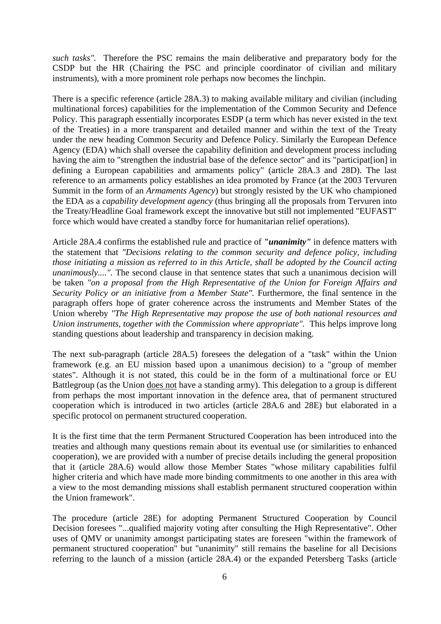*such tasks".* Therefore the PSC remains the main deliberative and preparatory body for the CSDP but the HR (Chairing the PSC and principle coordinator of civilian and military instruments), with a more prominent role perhaps now becomes the linchpin.

There is a specific reference (article 28A.3) to making available military and civilian (including multinational forces) capabilities for the implementation of the Common Security and Defence Policy. This paragraph essentially incorporates ESDP (a term which has never existed in the text of the Treaties) in a more transparent and detailed manner and within the text of the Treaty under the new heading Common Security and Defence Policy. Similarly the European Defence Agency (EDA) which shall oversee the capability definition and development process including having the aim to "strengthen the industrial base of the defence sector" and its "participat[ion] in defining a European capabilities and armaments policy" (article 28A.3 and 28D). The last reference to an armaments policy establishes an idea promoted by France (at the 2003 Tervuren Summit in the form of an *Armaments Agency*) but strongly resisted by the UK who championed the EDA as a *capability development agency* (thus bringing all the proposals from Tervuren into the Treaty/Headline Goal framework except the innovative but still not implemented "EUFAST" force which would have created a standby force for humanitarian relief operations).

Article 28A.4 confirms the established rule and practice of *"unanimity"* in defence matters with the statement that *"Decisions relating to the common security and defence policy, including those initiating a mission as referred to in this Article, shall be adopted by the Council acting unanimously....".* The second clause in that sentence states that such a unanimous decision will be taken *"on a proposal from the High Representative of the Union for Foreign Affairs and Security Policy or an initiative from a Member State".* Furthermore, the final sentence in the paragraph offers hope of grater coherence across the instruments and Member States of the Union whereby *"The High Representative may propose the use of both national resources and Union instruments, together with the Commission where appropriate".* This helps improve long standing questions about leadership and transparency in decision making.

The next sub-paragraph (article 28A.5) foresees the delegation of a "task" within the Union framework (e.g. an EU mission based upon a unanimous decision) to a "group of member states". Although it is not stated, this could be in the form of a multinational force or EU Battlegroup (as the Union does not have a standing army). This delegation to a group is different from perhaps the most important innovation in the defence area, that of permanent structured cooperation which is introduced in two articles (article 28A.6 and 28E) but elaborated in a specific protocol on permanent structured cooperation.

It is the first time that the term Permanent Structured Cooperation has been introduced into the treaties and although many questions remain about its eventual use (or similarities to enhanced cooperation), we are provided with a number of precise details including the general proposition that it (article 28A.6) would allow those Member States "whose military capabilities fulfil higher criteria and which have made more binding commitments to one another in this area with a view to the most demanding missions shall establish permanent structured cooperation within the Union framework".

The procedure (article 28E) for adopting Permanent Structured Cooperation by Council Decision foresees "...qualified majority voting after consulting the High Representative". Other uses of QMV or unanimity amongst participating states are foreseen "within the framework of permanent structured cooperation" but "unanimity" still remains the baseline for all Decisions referring to the launch of a mission (article 28A.4) or the expanded Petersberg Tasks (article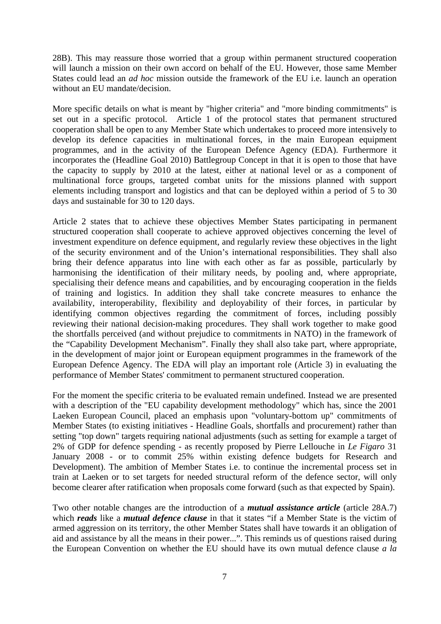28B). This may reassure those worried that a group within permanent structured cooperation will launch a mission on their own accord on behalf of the EU. However, those same Member States could lead an *ad hoc* mission outside the framework of the EU i.e. launch an operation without an EU mandate/decision.

More specific details on what is meant by "higher criteria" and "more binding commitments" is set out in a specific protocol. Article 1 of the protocol states that permanent structured cooperation shall be open to any Member State which undertakes to proceed more intensively to develop its defence capacities in multinational forces, in the main European equipment programmes, and in the activity of the European Defence Agency (EDA). Furthermore it incorporates the (Headline Goal 2010) Battlegroup Concept in that it is open to those that have the capacity to supply by 2010 at the latest, either at national level or as a component of multinational force groups, targeted combat units for the missions planned with support elements including transport and logistics and that can be deployed within a period of 5 to 30 days and sustainable for 30 to 120 days.

Article 2 states that to achieve these objectives Member States participating in permanent structured cooperation shall cooperate to achieve approved objectives concerning the level of investment expenditure on defence equipment, and regularly review these objectives in the light of the security environment and of the Union's international responsibilities. They shall also bring their defence apparatus into line with each other as far as possible, particularly by harmonising the identification of their military needs, by pooling and, where appropriate, specialising their defence means and capabilities, and by encouraging cooperation in the fields of training and logistics. In addition they shall take concrete measures to enhance the availability, interoperability, flexibility and deployability of their forces, in particular by identifying common objectives regarding the commitment of forces, including possibly reviewing their national decision-making procedures. They shall work together to make good the shortfalls perceived (and without prejudice to commitments in NATO) in the framework of the "Capability Development Mechanism". Finally they shall also take part, where appropriate, in the development of major joint or European equipment programmes in the framework of the European Defence Agency. The EDA will play an important role (Article 3) in evaluating the performance of Member States' commitment to permanent structured cooperation.

For the moment the specific criteria to be evaluated remain undefined. Instead we are presented with a description of the "EU capability development methodology" which has, since the 2001 Laeken European Council, placed an emphasis upon "voluntary-bottom up" commitments of Member States (to existing initiatives - Headline Goals, shortfalls and procurement) rather than setting "top down" targets requiring national adjustments (such as setting for example a target of 2% of GDP for defence spending - as recently proposed by Pierre Lellouche in *Le Figaro* 31 January 2008 - or to commit 25% within existing defence budgets for Research and Development). The ambition of Member States i.e. to continue the incremental process set in train at Laeken or to set targets for needed structural reform of the defence sector, will only become clearer after ratification when proposals come forward (such as that expected by Spain).

Two other notable changes are the introduction of a *mutual assistance article* (article 28A.7) which *reads* like a *mutual defence clause* in that it states "if a Member State is the victim of armed aggression on its territory, the other Member States shall have towards it an obligation of aid and assistance by all the means in their power...". This reminds us of questions raised during the European Convention on whether the EU should have its own mutual defence clause *a la*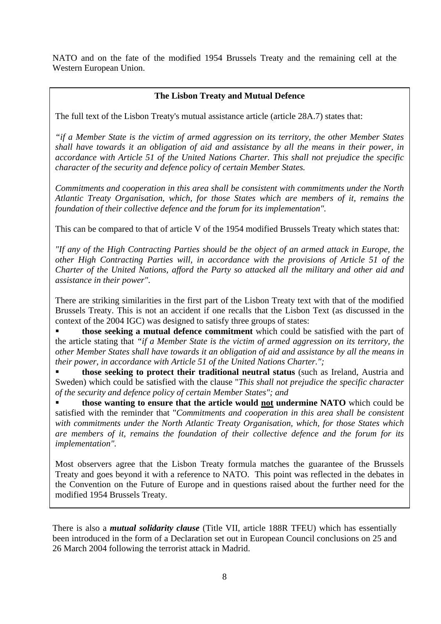NATO and on the fate of the modified 1954 Brussels Treaty and the remaining cell at the Western European Union.

### **The Lisbon Treaty and Mutual Defence**

The full text of the Lisbon Treaty's mutual assistance article (article 28A.7) states that:

*"if a Member State is the victim of armed aggression on its territory, the other Member States shall have towards it an obligation of aid and assistance by all the means in their power, in accordance with Article 51 of the United Nations Charter. This shall not prejudice the specific character of the security and defence policy of certain Member States.* 

*Commitments and cooperation in this area shall be consistent with commitments under the North Atlantic Treaty Organisation, which, for those States which are members of it, remains the foundation of their collective defence and the forum for its implementation".* 

This can be compared to that of article V of the 1954 modified Brussels Treaty which states that:

*"If any of the High Contracting Parties should be the object of an armed attack in Europe, the other High Contracting Parties will, in accordance with the provisions of Article 51 of the Charter of the United Nations, afford the Party so attacked all the military and other aid and assistance in their power"*.

There are striking similarities in the first part of the Lisbon Treaty text with that of the modified Brussels Treaty. This is not an accident if one recalls that the Lisbon Text (as discussed in the context of the 2004 IGC) was designed to satisfy three groups of states:

 **those seeking a mutual defence commitment** which could be satisfied with the part of the article stating that *"if a Member State is the victim of armed aggression on its territory, the other Member States shall have towards it an obligation of aid and assistance by all the means in their power, in accordance with Article 51 of the United Nations Charter.";*

 **those seeking to protect their traditional neutral status** (such as Ireland, Austria and Sweden) which could be satisfied with the clause "*This shall not prejudice the specific character of the security and defence policy of certain Member States"; and* 

 **those wanting to ensure that the article would not undermine NATO** which could be satisfied with the reminder that "*Commitments and cooperation in this area shall be consistent with commitments under the North Atlantic Treaty Organisation, which, for those States which are members of it, remains the foundation of their collective defence and the forum for its implementation".* 

Most observers agree that the Lisbon Treaty formula matches the guarantee of the Brussels Treaty and goes beyond it with a reference to NATO. This point was reflected in the debates in the Convention on the Future of Europe and in questions raised about the further need for the modified 1954 Brussels Treaty.

There is also a *mutual solidarity clause* (Title VII, article 188R TFEU) which has essentially been introduced in the form of a Declaration set out in European Council conclusions on 25 and 26 March 2004 following the terrorist attack in Madrid.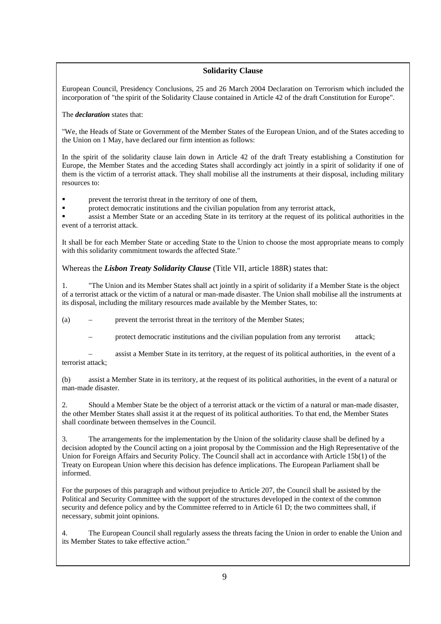#### **Solidarity Clause**

European Council, Presidency Conclusions, 25 and 26 March 2004 Declaration on Terrorism which included the incorporation of "the spirit of the Solidarity Clause contained in Article 42 of the draft Constitution for Europe".

The *declaration* states that:

"We, the Heads of State or Government of the Member States of the European Union, and of the States acceding to the Union on 1 May, have declared our firm intention as follows:

In the spirit of the solidarity clause lain down in Article 42 of the draft Treaty establishing a Constitution for Europe, the Member States and the acceding States shall accordingly act jointly in a spirit of solidarity if one of them is the victim of a terrorist attack. They shall mobilise all the instruments at their disposal, including military resources to:

prevent the terrorist threat in the territory of one of them,

protect democratic institutions and the civilian population from any terrorist attack,

 assist a Member State or an acceding State in its territory at the request of its political authorities in the event of a terrorist attack.

It shall be for each Member State or acceding State to the Union to choose the most appropriate means to comply with this solidarity commitment towards the affected State."

Whereas the *Lisbon Treaty Solidarity Clause* (Title VII, article 188R) states that:

1. "The Union and its Member States shall act jointly in a spirit of solidarity if a Member State is the object of a terrorist attack or the victim of a natural or man-made disaster. The Union shall mobilise all the instruments at its disposal, including the military resources made available by the Member States, to:

(a) – prevent the terrorist threat in the territory of the Member States;

– protect democratic institutions and the civilian population from any terrorist attack;

 – assist a Member State in its territory, at the request of its political authorities, in the event of a terrorist attack;

(b) assist a Member State in its territory, at the request of its political authorities, in the event of a natural or man-made disaster.

2. Should a Member State be the object of a terrorist attack or the victim of a natural or man-made disaster, the other Member States shall assist it at the request of its political authorities. To that end, the Member States shall coordinate between themselves in the Council.

3. The arrangements for the implementation by the Union of the solidarity clause shall be defined by a decision adopted by the Council acting on a joint proposal by the Commission and the High Representative of the Union for Foreign Affairs and Security Policy. The Council shall act in accordance with Article 15b(1) of the Treaty on European Union where this decision has defence implications. The European Parliament shall be informed.

For the purposes of this paragraph and without prejudice to Article 207, the Council shall be assisted by the Political and Security Committee with the support of the structures developed in the context of the common security and defence policy and by the Committee referred to in Article 61 D; the two committees shall, if necessary, submit joint opinions.

4. The European Council shall regularly assess the threats facing the Union in order to enable the Union and its Member States to take effective action."